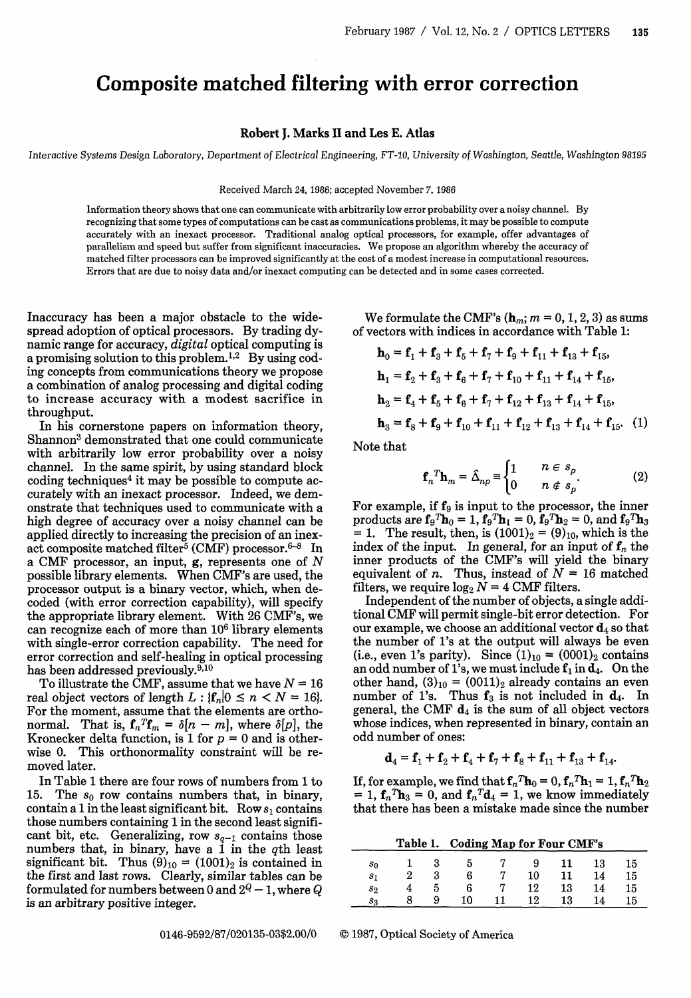## **Composite matched filtering with error correction**

## Robert J. Marks **II** and Les E. Atlas

Interactive *Systems Design* Laboratory, Department *of Electrical* Engineering, *FT-10, University of Washington,* Seattle, *Washington 98195*

## Received March 24, 1986; accepted November 7, 1986

Information theory shows that one can communicate with arbitrarily low error probability over a noisy channel. By recognizing that some types of computations can be cast as communications problems, it may be possible to compute accurately with an inexact processor. Traditional analog optical processors, for example, offer advantages of parallelism and speed but suffer from significant inaccuracies. We propose an algorithm whereby the accuracy of matched filter processors can be improved significantly at the cost of a modest increase in computational resources. Errors that are due to noisy data and/or inexact computing can be detected and in some cases corrected.

Inaccuracy has been a major obstacle to the widespread adoption of optical processors. By trading dynamic range for accuracy, *digital* optical computing is a promising solution to this problem.<sup>1,2</sup> By using coding concepts from communications theory we propose a combination of analog processing and digital coding to increase accuracy with a modest sacrifice in throughput.

In his cornerstone papers on information theory, Shannon<sup>3</sup> demonstrated that one could communicate with arbitrarily low error probability over a noisy channel. In the same spirit, by using standard block coding techniques<sup>4</sup> it may be possible to compute accurately with an inexact processor. Indeed, we demonstrate that techniques used to communicate with a high degree of accuracy over a noisy channel can be applied directly to increasing the precision of an inexact composite matched filter<sup>5</sup> (CMF) processor.<sup>6-8</sup> In a CMF processor, an input, g, represents one of *N* possible library elements. When CMF's are used, the processor output is a binary vector, which, when decoded (with error correction capability), will specify the appropriate library element. With 26 CMF's, we can recognize each of more than 106 library elements with single-error correction capability. The need for error correction and self-healing in optical processing has been addressed previously. $^{9,10}$ 

To illustrate the CMF, assume that we have  $N = 16$ real object vectors of length  $L:$   $\{f_n|0 \le n \le N = 16\}$ . For the moment, assume that the elements are orthonormal. That is,  $\mathbf{f}_n{}^T \mathbf{f}_m = \delta[n-m]$ , where  $\delta[p]$ , the Kronecker delta function, is 1 for  $p = 0$  and is otherwise 0. This orthonormality constraint will be removed later.

In Table 1 there are four rows of numbers from 1 to 15. The  $s_0$  row contains numbers that, in binary, contain a 1 in the least significant bit. Row  $s_1$  contains those numbers containing 1 in the second least significant bit, etc. Generalizing, row  $s_{q-1}$  contains those numbers that, in binary, have a  $1$  in the qth least significant bit. Thus  $(9)_{10} = (1001)_2$  is contained in the first and last rows. Clearly, similar tables can be formulated for numbers between 0 and  $2^Q - 1$ , where Q is an arbitrary positive integer.

We formulate the CMF's  $(\mathbf{h}_m; m = 0, 1, 2, 3)$  as sums of vectors with indices in accordance with Table 1:

$$
\mathbf{h}_0 = \mathbf{f}_1 + \mathbf{f}_3 + \mathbf{f}_5 + \mathbf{f}_7 + \mathbf{f}_9 + \mathbf{f}_{11} + \mathbf{f}_{13} + \mathbf{f}_{15},
$$
\n
$$
\mathbf{h}_1 = \mathbf{f}_2 + \mathbf{f}_3 + \mathbf{f}_6 + \mathbf{f}_7 + \mathbf{f}_{10} + \mathbf{f}_{11} + \mathbf{f}_{14} + \mathbf{f}_{15},
$$
\n
$$
\mathbf{h}_2 = \mathbf{f}_4 + \mathbf{f}_5 + \mathbf{f}_6 + \mathbf{f}_7 + \mathbf{f}_{12} + \mathbf{f}_{13} + \mathbf{f}_{14} + \mathbf{f}_{15},
$$
\n
$$
\mathbf{h}_3 = \mathbf{f}_8 + \mathbf{f}_9 + \mathbf{f}_{10} + \mathbf{f}_{11} + \mathbf{f}_{12} + \mathbf{f}_{13} + \mathbf{f}_{14} + \mathbf{f}_{15}. \quad (1)
$$

Note that

$$
\mathbf{f}_n^T \mathbf{h}_m = \hat{\Delta}_{np} \equiv \begin{cases} 1 & n \in s_p \\ 0 & n \notin s_p \end{cases} \tag{2}
$$

For example, if  $f_9$  is input to the processor, the inner products are  $\mathbf{f}_9T\mathbf{h}_0 = 1$ ,  $\mathbf{f}_9T\mathbf{h}_1 = 0$ ,  $\mathbf{f}_9T\mathbf{h}_2 = 0$ , and  $\mathbf{f}_9T\mathbf{h}_3$ = 1. The result, then, is  $(1001)<sub>2</sub> = (9)<sub>10</sub>$ , which is the index of the input. In general, for an input of  $f_n$  the inner products of the CMF's will yield the binary equivalent of *n*. Thus, instead of  $N = 16$  matched filters, we require  $\log_2 N = 4$  CMF filters.

Independent of the number of objects, a single additional CMF will permit single-bit error detection. For our example, we choose an additional vector  $\mathbf{d}_4$  so that the number of l's at the output will always be even (i.e., even 1's parity). Since  $(1)_{10} = (0001)_2$  contains an odd number of 1's, we must include  $f_1$  in  $d_4$ . On the other hand,  $(3)_{10} = (0011)_2$  already contains an even number of 1's. Thus  $f_3$  is not included in  $d_4$ . In general, the CMF  $d_4$  is the sum of all object vectors whose indices, when represented in binary, contain an odd number of ones:

$$
\mathbf{d}_4 = \mathbf{f}_1 + \mathbf{f}_2 + \mathbf{f}_4 + \mathbf{f}_7 + \mathbf{f}_8 + \mathbf{f}_{11} + \mathbf{f}_{13} + \mathbf{f}_{14}.
$$

If, for example, we find that  $f_n^T \mathbf{h}_0 = 0$ ,  $f_n^T \mathbf{h}_1 = 1$ ,  $f_n^T \mathbf{h}_2$ = 1,  $f_n^T h_3 = 0$ , and  $f_n^T d_4 = 1$ , we know immediately that there has been a mistake made since the number

**Table 1. Coding Map for Four CMF's**

|  | $s_0$ 1 3 5 7 9 11 13 15  |  |  |  |
|--|---------------------------|--|--|--|
|  | 2 3 6 7 10 11 14 15       |  |  |  |
|  | $s_2$ 4 5 6 7 12 13 14 15 |  |  |  |
|  | 8 9 10 11 12 13 14 15     |  |  |  |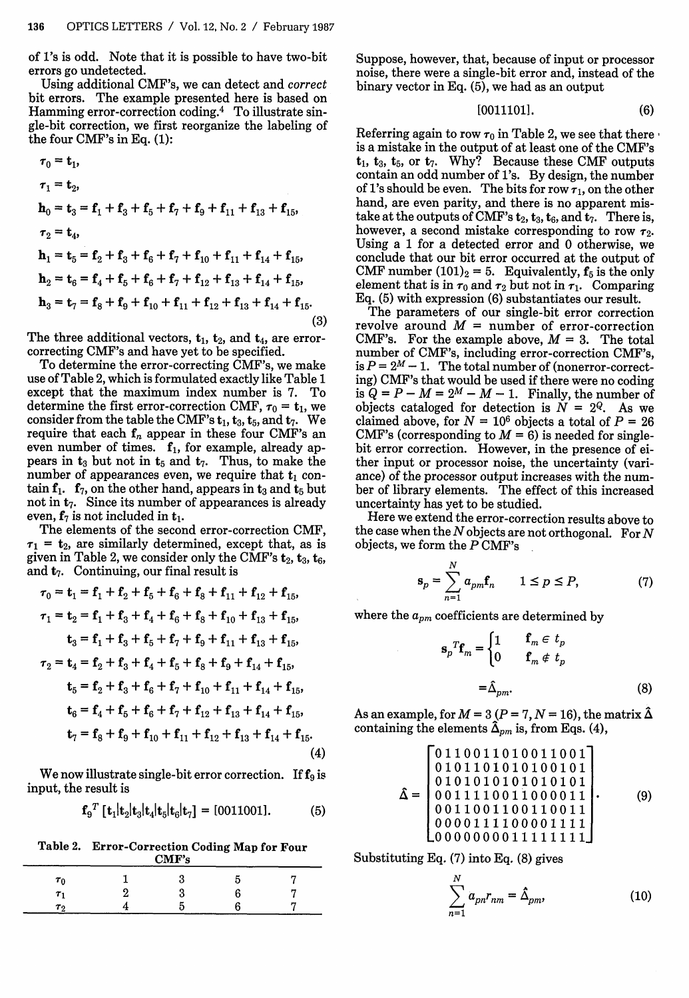of l's is odd. Note that it is possible to have two-bit errors go undetected.

Using additional CMF's, we can detect and *correct* bit errors. The example presented here is based on Hamming error-correction coding.4 To illustrate single-bit correction, we first reorganize the labeling of the four CMF's in Eq. (1):

TO **=** ti,

$$
\tau_0 = \mathbf{t}_1,
$$
\n
$$
\tau_1 = \mathbf{t}_2,
$$
\n
$$
\mathbf{h}_0 = \mathbf{t}_3 = \mathbf{f}_1 + \mathbf{f}_3 + \mathbf{f}_5 + \mathbf{f}_7 + \mathbf{f}_9 + \mathbf{f}_{11} + \mathbf{f}_{13} + \mathbf{f}_{15},
$$
\n
$$
\tau_2 = \mathbf{t}_4,
$$
\n
$$
\mathbf{h}_1 = \mathbf{t}_5 = \mathbf{f}_2 + \mathbf{f}_3 + \mathbf{f}_6 + \mathbf{f}_7 + \mathbf{f}_{10} + \mathbf{f}_{11} + \mathbf{f}_{14} + \mathbf{f}_{15},
$$
\n
$$
\mathbf{h}_2 = \mathbf{t}_6 = \mathbf{f}_4 + \mathbf{f}_5 + \mathbf{f}_6 + \mathbf{f}_7 + \mathbf{f}_{12} + \mathbf{f}_{13} + \mathbf{f}_{14} + \mathbf{f}_{15},
$$
\n
$$
\mathbf{h}_3 = \mathbf{t}_7 = \mathbf{f}_8 + \mathbf{f}_9 + \mathbf{f}_{10} + \mathbf{f}_{11} + \mathbf{f}_{12} + \mathbf{f}_{13} + \mathbf{f}_{14} + \mathbf{f}_{15}.
$$
\n(3)

The three additional vectors,  $t_1$ ,  $t_2$ , and  $t_4$ , are errorcorrecting CMF's and have yet to be specified.

To determine the error-correcting CMF's, we make use of Table 2, which is formulated exactly like Table 1 except that the maximum index number is 7. To determine the first error-correction CMF,  $\tau_0 = \mathbf{t}_1$ , we consider from the table the CMF's  $t_1$ ,  $t_3$ ,  $t_5$ , and  $t_7$ . We require that each  $f_n$  appear in these four CMF's an even number of times.  $f_1$ , for example, already appears in  $t_3$  but not in  $t_5$  and  $t_7$ . Thus, to make the number of appearances even, we require that  $t_1$  contain  $f_1$ .  $f_7$ , on the other hand, appears in  $t_3$  and  $t_5$  but not in  $t_7$ . Since its number of appearances is already even,  $f_7$  is not included in  $t_1$ .

The elements of the second error-correction CMF,  $\tau_1$  =  $t_2$ , are similarly determined, except that, as is given in Table 2, we consider only the CMF's  ${\bf t}_2, {\bf t}_3, {\bf t}_6,$ and  $t_7$ . Continuing, our final result is

$$
\tau_0 = \mathbf{t}_1 = \mathbf{f}_1 + \mathbf{f}_2 + \mathbf{f}_5 + \mathbf{f}_6 + \mathbf{f}_8 + \mathbf{f}_{11} + \mathbf{f}_{12} + \mathbf{f}_{15},
$$
\n
$$
\tau_1 = \mathbf{t}_2 = \mathbf{f}_1 + \mathbf{f}_3 + \mathbf{f}_4 + \mathbf{f}_6 + \mathbf{f}_8 + \mathbf{f}_{10} + \mathbf{f}_{13} + \mathbf{f}_{15},
$$
\n
$$
\mathbf{t}_3 = \mathbf{f}_1 + \mathbf{f}_3 + \mathbf{f}_5 + \mathbf{f}_7 + \mathbf{f}_9 + \mathbf{f}_{11} + \mathbf{f}_{13} + \mathbf{f}_{15},
$$
\n
$$
\tau_2 = \mathbf{t}_4 = \mathbf{f}_2 + \mathbf{f}_3 + \mathbf{f}_4 + \mathbf{f}_5 + \mathbf{f}_8 + \mathbf{f}_9 + \mathbf{f}_{14} + \mathbf{f}_{15},
$$
\n
$$
\mathbf{t}_5 = \mathbf{f}_2 + \mathbf{f}_3 + \mathbf{f}_6 + \mathbf{f}_7 + \mathbf{f}_{10} + \mathbf{f}_{11} + \mathbf{f}_{14} + \mathbf{f}_{15},
$$
\n
$$
\mathbf{t}_6 = \mathbf{f}_4 + \mathbf{f}_5 + \mathbf{f}_6 + \mathbf{f}_7 + \mathbf{f}_{12} + \mathbf{f}_{13} + \mathbf{f}_{14} + \mathbf{f}_{15},
$$
\n
$$
\mathbf{t}_7 = \mathbf{f}_8 + \mathbf{f}_9 + \mathbf{f}_{10} + \mathbf{f}_{11} + \mathbf{f}_{12} + \mathbf{f}_{13} + \mathbf{f}_{14} + \mathbf{f}_{15}.
$$
\n(4)

We now illustrate single-bit error correction. If  $f_9$  is input, the result is

$$
\mathbf{f}_9^T [\mathbf{t}_1 | \mathbf{t}_2 | \mathbf{t}_3 | \mathbf{t}_4 | \mathbf{t}_5 | \mathbf{t}_6 | \mathbf{t}_7] = [0011001]. \tag{5}
$$

Table 2. Error-Correction Coding Map for Four CMF's

| $\sum_{i=1}^{n}$ |  |  |  |  |  |  |  |  |
|------------------|--|--|--|--|--|--|--|--|
| $\tau_0$         |  |  |  |  |  |  |  |  |
| $\tau$ .         |  |  |  |  |  |  |  |  |
| Τ0               |  |  |  |  |  |  |  |  |

Suppose, however, that, because of input or processor noise, there were a single-bit error and, instead of the binary vector in Eq. (5), we had as an output

[00111011. (6)

Referring again to row  $\tau_0$  in Table 2, we see that there is a mistake in the output of at least one of the CMF's  $t_1$ ,  $t_3$ ,  $t_5$ , or  $t_7$ . Why? Because these CMF outputs contain an odd number of l's. By design, the number of 1's should be even. The bits for row  $\tau_1$ , on the other hand, are even parity, and there is no apparent mistake at the outputs of CMF's  $t_2$ ,  $t_3$ ,  $t_6$ , and  $t_7$ . There is, however, a second mistake corresponding to row  $\tau_2$ . Using a 1 for a detected error and 0 otherwise, we conclude that our bit error occurred at the output of CMF number  $(101)<sub>2</sub> = 5$ . Equivalently,  $f<sub>5</sub>$  is the only element that is in  $\tau_0$  and  $\tau_2$  but not in  $\tau_1$ . Comparing Eq. (5) with expression (6) substantiates our result.

The parameters of our single-bit error correction revolve around  $M =$  number of error-correction CMF's. For the example above,  $M = 3$ . The total number of CMF's, including error-correction CMF's, is  $P = 2^M - 1$ . The total number of (nonerror-correcting) CMF's that would be used if there were no coding is  $Q = P - M = 2^M - M - 1$ . Finally, the number of objects cataloged for detection is  $\overline{N} = 2^Q$ . As we claimed above, for  $N = 10^6$  objects a total of  $P = 26$ CMF's (corresponding to  $M = 6$ ) is needed for singlebit error correction. However, in the presence of either input or processor noise, the uncertainty (variance) of the processor output increases with the number of library elements. The effect of this increased uncertainty has yet to be studied.

Here we extend the error-correction results above to the case when the *N* objects are not orthogonal. For *N* objects, we form the P CMF's

$$
\mathbf{s}_p = \sum_{n=1}^N a_{pm} \mathbf{f}_n \qquad 1 \le p \le P,\tag{7}
$$

where the  $a_{pm}$  coefficients are determined by

$$
\mathbf{s}_p{}^T \mathbf{f}_m = \begin{cases} 1 & \mathbf{f}_m \in t_p \\ 0 & \mathbf{f}_m \notin t_p \end{cases}
$$

$$
= \hat{\Delta}_{pm}.
$$
 (8)

As an example, for  $M = 3 (P = 7, N = 16)$ , the matrix  $\hat{\Delta}$ containing the elements  $\tilde{\Delta}_{pm}$  is, from Eqs. (4),

0110011010011001 **<sup>I</sup>**0101101010100101 <sup>0101010101010101</sup> A= 00111100110000111. 0011001100110011 0000111100001111 0000000011111111 (9)

Substituting Eq. (7) into Eq. (8) gives

$$
\sum_{n=1}^{N} a_{pn} r_{nm} = \hat{\Delta}_{pm}, \qquad (10)
$$